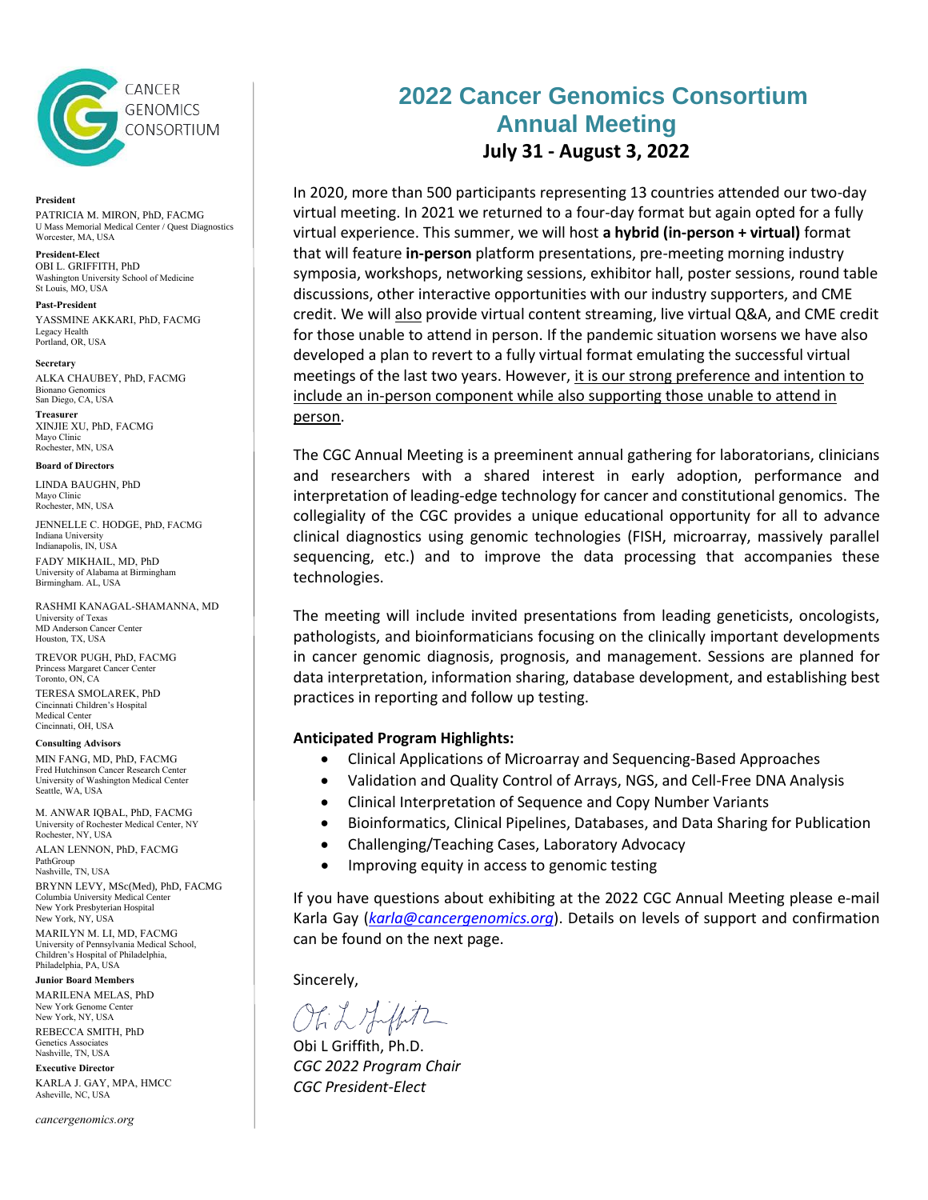

### **President**

PATRICIA M. MIRON, PhD, FACMG U Mass Memorial Medical Center / Quest Diagnostics Worcester, MA, USA

## **President-Elect**

OBI L. GRIFFITH, PhD Washington University School of Medicine St Louis, MO, USA

**Past-President** YASSMINE AKKARI, PhD, FACMG Legacy Health Portland, OR, USA

**Secretary**

ALKA CHAUBEY, PhD, FACMG Bionano Genomics San Diego, CA, USA

**Treasurer** XINJIE XU, PhD, FACMG Mayo Clinic Rochester, MN, USA

## **Board of Directors**

LINDA BAUGHN, PhD Mayo Clinic Rochester, MN, USA

JENNELLE C. HODGE, PhD, FACMG Indiana University Indianapolis, IN, USA FADY MIKHAIL, MD, PhD University of Alabama at Birmingham Birmingham. AL, USA

RASHMI KANAGAL-SHAMANNA, MD University of Texas MD Anderson Cancer Center Houston, TX, USA

TREVOR PUGH, PhD, FACMG Princess Margaret Cancer Center Toronto, ON, CA

TERESA SMOLAREK, PhD Cincinnati Children's Hospital Medical Center Cincinnati, OH, USA

**Consulting Advisors**

MIN FANG, MD, PhD, FACMG Fred Hutchinson Cancer Research Center University of Washington Medical Center Seattle, WA, USA

M. ANWAR IQBAL, PhD, FACMG University of Rochester Medical Center, NY Rochester, NY, USA

ALAN LENNON, PhD, FACMG PathGroup Nashville, TN, USA

BRYNN LEVY, MSc(Med), PhD, FACMG Columbia University Medical Center New York Presbyterian Hospital New York, NY, USA

MARILYN M. LI, MD, FACMG University of Pennsylvania Medical School, Children's Hospital of Philadelphia, Philadelphia, PA, USA

**Junior Board Members**

MARILENA MELAS, PhD New York Genome Center New York, NY, USA REBECCA SMITH, PhD

Genetics Associates Nashville, TN, USA **Executive Director**

KARLA J. GAY, MPA, HMCC Asheville, NC, USA

*cancergenomics.org*

# **2022 Cancer Genomics Consortium Annual Meeting July 31 - August 3, 2022**

In 2020, more than 500 participants representing 13 countries attended our two-day virtual meeting. In 2021 we returned to a four-day format but again opted for a fully virtual experience. This summer, we will host **a hybrid (in-person + virtual)** format that will feature **in-person** platform presentations, pre-meeting morning industry symposia, workshops, networking sessions, exhibitor hall, poster sessions, round table discussions, other interactive opportunities with our industry supporters, and CME credit. We will also provide virtual content streaming, live virtual Q&A, and CME credit for those unable to attend in person. If the pandemic situation worsens we have also developed a plan to revert to a fully virtual format emulating the successful virtual meetings of the last two years. However, it is our strong preference and intention to include an in-person component while also supporting those unable to attend in person.

The CGC Annual Meeting is a preeminent annual gathering for laboratorians, clinicians and researchers with a shared interest in early adoption, performance and interpretation of leading-edge technology for cancer and constitutional genomics. The collegiality of the CGC provides a unique educational opportunity for all to advance clinical diagnostics using genomic technologies (FISH, microarray, massively parallel sequencing, etc.) and to improve the data processing that accompanies these technologies.

The meeting will include invited presentations from leading geneticists, oncologists, pathologists, and bioinformaticians focusing on the clinically important developments in cancer genomic diagnosis, prognosis, and management. Sessions are planned for data interpretation, information sharing, database development, and establishing best practices in reporting and follow up testing.

## **Anticipated Program Highlights:**

- Clinical Applications of Microarray and Sequencing-Based Approaches
- Validation and Quality Control of Arrays, NGS, and Cell-Free DNA Analysis
- Clinical Interpretation of Sequence and Copy Number Variants
- Bioinformatics, Clinical Pipelines, Databases, and Data Sharing for Publication
- Challenging/Teaching Cases, Laboratory Advocacy
- Improving equity in access to genomic testing

If you have questions about exhibiting at the 2022 CGC Annual Meeting please e-mail Karla Gay (*[karla@cancergenomics.org](mailto:karla@cancergenomics.org)*). Details on levels of support and confirmation can be found on the next page.

Sincerely,

Ohih Hipt

Obi L Griffith, Ph.D. *CGC 2022 Program Chair CGC President-Elect*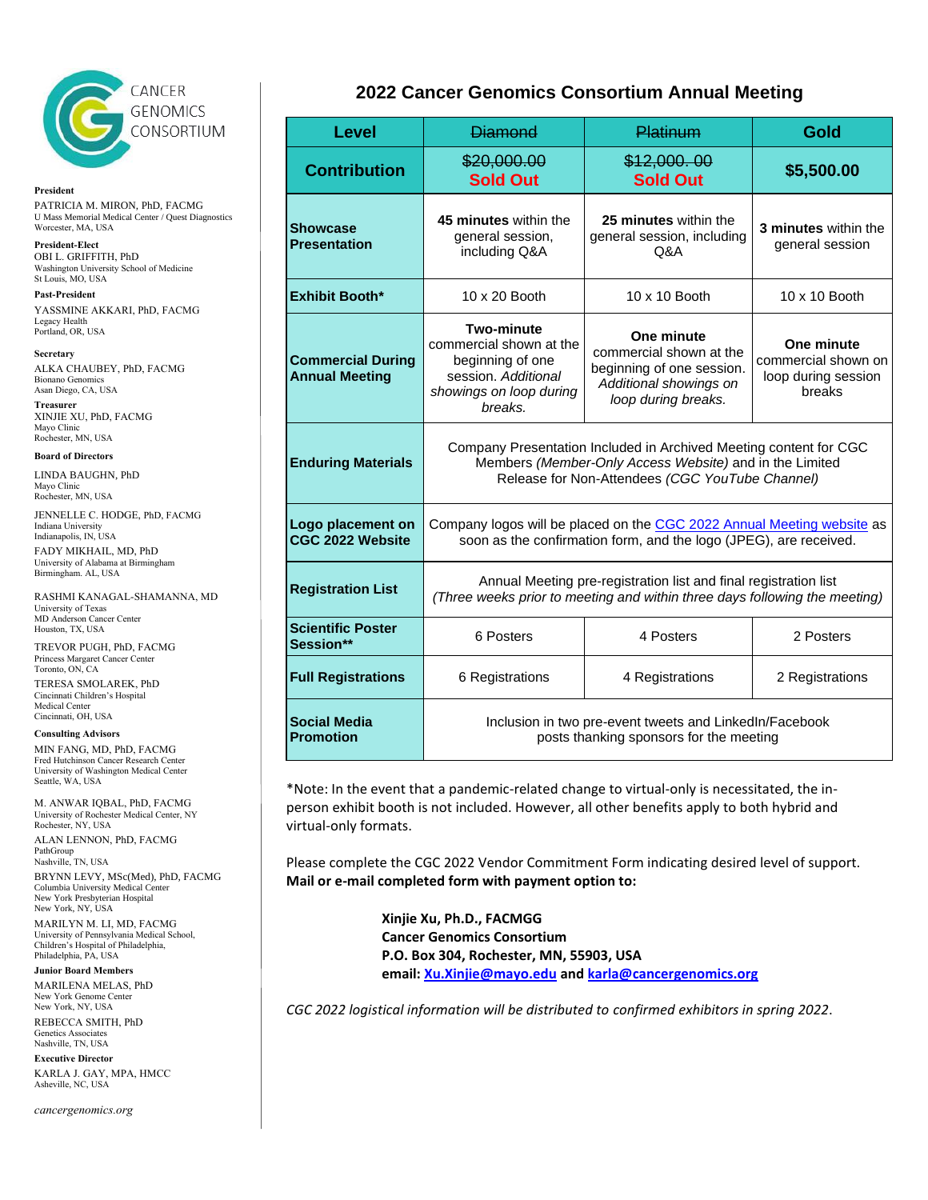

**President** PATRICIA M. MIRON, PhD, FACMG U Mass Memorial Medical Center / Quest Diagnostics Worcester, MA, USA

**President-Elect** OBI L. GRIFFITH, PhD Washington University School of Medicine St Louis, MO, USA

**Past-President** YASSMINE AKKARI, PhD, FACMG Legacy Health Portland, OR, USA

**Secretary**

ALKA CHAUBEY, PhD, FACMG Bionano Genomics Asan Diego, CA, USA

**Treasurer** XINJIE XU, PhD, FACMG Mayo Clinic Rochester, MN, USA

## **Board of Directors**

LINDA BAUGHN, PhD Mayo Clinic Rochester, MN, USA

JENNELLE C. HODGE, PhD, FACMG Indiana University

Indianapolis, IN, USA FADY MIKHAIL, MD, PhD University of Alabama at Birmingham Birmingham. AL, USA

RASHMI KANAGAL-SHAMANNA, MD University of Texas MD Anderson Cancer Center Houston, TX, USA

TREVOR PUGH, PhD, FACMG Princess Margaret Cancer Center Toronto, ON, CA TERESA SMOLAREK, PhD Cincinnati Children's Hospital Medical Center Cincinnati, OH, USA

## **Consulting Advisors**

MIN FANG, MD, PhD, FACMG Fred Hutchinson Cancer Research Center University of Washington Medical Center Seattle, WA, USA

M. ANWAR IQBAL, PhD, FACMG University of Rochester Medical Center, NY Rochester, NY, USA

ALAN LENNON, PhD, FACMG PathGroup Nashville, TN, USA

BRYNN LEVY, MSc(Med), PhD, FACMG Columbia University Medical Center New York Presbyterian Hospital New York, NY, USA MARILYN M. LI, MD, FACMG

University of Pennsylvania Medical School, Children's Hospital of Philadelphia, Philadelphia, PA, USA

**Junior Board Members** MARILENA MELAS, PhD New York Genome Center

New York, NY, USA REBECCA SMITH, PhD Genetics Associates

Nashville, TN, USA **Executive Director**

KARLA J. GAY, MPA, HMCC Asheville, NC, USA

### *cancergenomics.org*

## **2022 Cancer Genomics Consortium Annual Meeting**

| <b>Level</b>                                      | <b>Diamond</b>                                                                                                                                                                  | <b>Platinum</b>                                                                                                     | Gold                                                               |  |  |  |
|---------------------------------------------------|---------------------------------------------------------------------------------------------------------------------------------------------------------------------------------|---------------------------------------------------------------------------------------------------------------------|--------------------------------------------------------------------|--|--|--|
| <b>Contribution</b>                               | \$20,000.00<br><b>Sold Out</b>                                                                                                                                                  | \$12,000.00<br><b>Sold Out</b>                                                                                      | \$5,500.00                                                         |  |  |  |
| <b>Showcase</b><br><b>Presentation</b>            | 45 minutes within the<br>general session,<br>including Q&A                                                                                                                      | 25 minutes within the<br>general session, including<br>Q&A                                                          |                                                                    |  |  |  |
| Exhibit Booth*                                    | 10 x 20 Booth                                                                                                                                                                   | 10 x 10 Booth                                                                                                       | 10 x 10 Booth                                                      |  |  |  |
| <b>Commercial During</b><br><b>Annual Meeting</b> | <b>Two-minute</b><br>commercial shown at the<br>beginning of one<br>session. Additional<br>showings on loop during<br>breaks.                                                   | One minute<br>commercial shown at the<br>beginning of one session.<br>Additional showings on<br>loop during breaks. | One minute<br>commercial shown on<br>loop during session<br>breaks |  |  |  |
| <b>Enduring Materials</b>                         | Company Presentation Included in Archived Meeting content for CGC<br>Members (Member-Only Access Website) and in the Limited<br>Release for Non-Attendees (CGC YouTube Channel) |                                                                                                                     |                                                                    |  |  |  |
| Logo placement on<br>CGC 2022 Website             | Company logos will be placed on the CGC 2022 Annual Meeting website as<br>soon as the confirmation form, and the logo (JPEG), are received.                                     |                                                                                                                     |                                                                    |  |  |  |
| <b>Registration List</b>                          | Annual Meeting pre-registration list and final registration list<br>(Three weeks prior to meeting and within three days following the meeting)                                  |                                                                                                                     |                                                                    |  |  |  |
| <b>Scientific Poster</b><br>Session**             | 6 Posters                                                                                                                                                                       | 4 Posters                                                                                                           | 2 Posters                                                          |  |  |  |
| <b>Full Registrations</b>                         | 6 Registrations                                                                                                                                                                 | 4 Registrations                                                                                                     | 2 Registrations                                                    |  |  |  |
| Social Media<br>Promotion                         | Inclusion in two pre-event tweets and LinkedIn/Facebook<br>posts thanking sponsors for the meeting                                                                              |                                                                                                                     |                                                                    |  |  |  |

\*Note: In the event that a pandemic-related change to virtual-only is necessitated, the inperson exhibit booth is not included. However, all other benefits apply to both hybrid and virtual-only formats.

Please complete the CGC 2022 Vendor Commitment Form indicating desired level of support. **Mail or e-mail completed form with payment option to:**

> **Xinjie Xu, Ph.D., FACMGG Cancer Genomics Consortium P.O. Box 304, Rochester, MN, 55903, USA email: [Xu.Xinjie@mayo.edu](mailto:Xu.Xinjie@mayo.edu) and [karla@cancergenomics.org](mailto:karla@cancergenomics.org)**

*CGC 2022 logistical information will be distributed to confirmed exhibitors in spring 2022*.